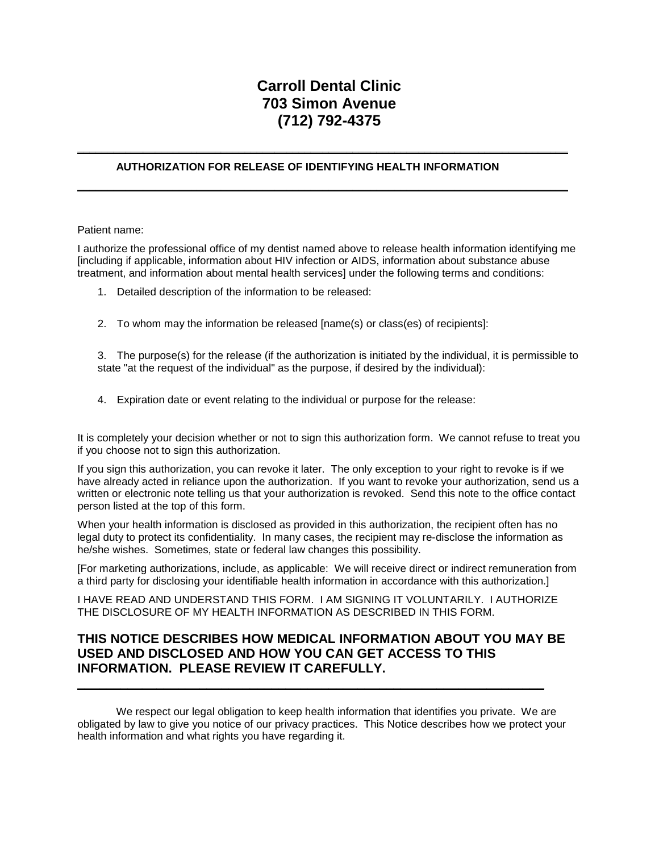# **Carroll Dental Clinic 703 Simon Avenue (712) 792-4375**

**\_\_\_\_\_\_\_\_\_\_\_\_\_\_\_\_\_\_\_\_\_\_\_\_\_\_\_\_\_\_\_\_\_\_\_\_\_\_\_\_\_\_\_\_\_\_\_\_\_\_\_\_\_\_\_\_\_\_\_\_\_\_\_\_\_\_\_\_\_\_\_\_\_\_\_\_\_\_\_\_\_\_**

**\_\_\_\_\_\_\_\_\_\_\_\_\_\_\_\_\_\_\_\_\_\_\_\_\_\_\_\_\_\_\_\_\_\_\_\_\_\_\_\_\_\_\_\_\_\_\_\_\_\_\_\_\_\_\_\_\_\_\_\_\_\_\_\_\_\_\_\_\_\_\_\_\_\_\_\_\_\_\_\_\_\_**

# **AUTHORIZATION FOR RELEASE OF IDENTIFYING HEALTH INFORMATION**

#### Patient name:

I authorize the professional office of my dentist named above to release health information identifying me [including if applicable, information about HIV infection or AIDS, information about substance abuse treatment, and information about mental health services] under the following terms and conditions:

- 1. Detailed description of the information to be released:
- 2. To whom may the information be released [name(s) or class(es) of recipients]:

3. The purpose(s) for the release (if the authorization is initiated by the individual, it is permissible to state "at the request of the individual" as the purpose, if desired by the individual):

4. Expiration date or event relating to the individual or purpose for the release:

It is completely your decision whether or not to sign this authorization form. We cannot refuse to treat you if you choose not to sign this authorization.

If you sign this authorization, you can revoke it later. The only exception to your right to revoke is if we have already acted in reliance upon the authorization. If you want to revoke your authorization, send us a written or electronic note telling us that your authorization is revoked. Send this note to the office contact person listed at the top of this form.

When your health information is disclosed as provided in this authorization, the recipient often has no legal duty to protect its confidentiality. In many cases, the recipient may re-disclose the information as he/she wishes. Sometimes, state or federal law changes this possibility.

[For marketing authorizations, include, as applicable: We will receive direct or indirect remuneration from a third party for disclosing your identifiable health information in accordance with this authorization.]

I HAVE READ AND UNDERSTAND THIS FORM. I AM SIGNING IT VOLUNTARILY. I AUTHORIZE THE DISCLOSURE OF MY HEALTH INFORMATION AS DESCRIBED IN THIS FORM.

# **THIS NOTICE DESCRIBES HOW MEDICAL INFORMATION ABOUT YOU MAY BE USED AND DISCLOSED AND HOW YOU CAN GET ACCESS TO THIS INFORMATION. PLEASE REVIEW IT CAREFULLY.**

**\_\_\_\_\_\_\_\_\_\_\_\_\_\_\_\_\_\_\_\_\_\_\_\_\_\_\_\_\_\_\_\_\_\_\_\_\_\_\_\_\_\_\_\_\_\_\_\_\_\_\_\_\_\_\_\_\_\_\_\_\_\_\_\_\_**

We respect our legal obligation to keep health information that identifies you private. We are obligated by law to give you notice of our privacy practices. This Notice describes how we protect your health information and what rights you have regarding it.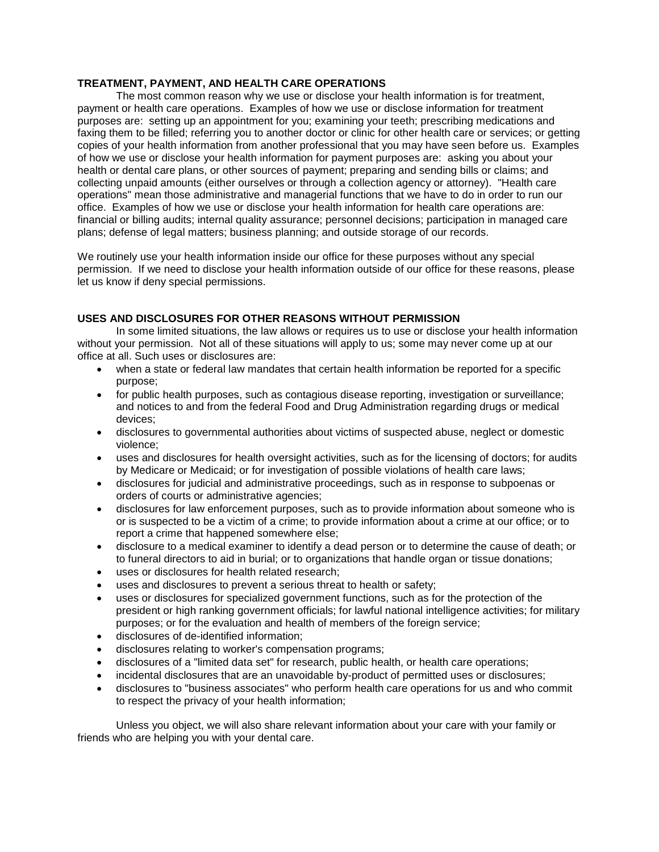# **TREATMENT, PAYMENT, AND HEALTH CARE OPERATIONS**

The most common reason why we use or disclose your health information is for treatment, payment or health care operations. Examples of how we use or disclose information for treatment purposes are: setting up an appointment for you; examining your teeth; prescribing medications and faxing them to be filled; referring you to another doctor or clinic for other health care or services; or getting copies of your health information from another professional that you may have seen before us. Examples of how we use or disclose your health information for payment purposes are: asking you about your health or dental care plans, or other sources of payment; preparing and sending bills or claims; and collecting unpaid amounts (either ourselves or through a collection agency or attorney). "Health care operations" mean those administrative and managerial functions that we have to do in order to run our office. Examples of how we use or disclose your health information for health care operations are: financial or billing audits; internal quality assurance; personnel decisions; participation in managed care plans; defense of legal matters; business planning; and outside storage of our records.

We routinely use your health information inside our office for these purposes without any special permission. If we need to disclose your health information outside of our office for these reasons, please let us know if deny special permissions.

# **USES AND DISCLOSURES FOR OTHER REASONS WITHOUT PERMISSION**

In some limited situations, the law allows or requires us to use or disclose your health information without your permission. Not all of these situations will apply to us; some may never come up at our office at all. Such uses or disclosures are:

- when a state or federal law mandates that certain health information be reported for a specific purpose;
- for public health purposes, such as contagious disease reporting, investigation or surveillance; and notices to and from the federal Food and Drug Administration regarding drugs or medical devices;
- disclosures to governmental authorities about victims of suspected abuse, neglect or domestic violence;
- uses and disclosures for health oversight activities, such as for the licensing of doctors; for audits by Medicare or Medicaid; or for investigation of possible violations of health care laws;
- disclosures for judicial and administrative proceedings, such as in response to subpoenas or orders of courts or administrative agencies;
- disclosures for law enforcement purposes, such as to provide information about someone who is or is suspected to be a victim of a crime; to provide information about a crime at our office; or to report a crime that happened somewhere else;
- disclosure to a medical examiner to identify a dead person or to determine the cause of death; or to funeral directors to aid in burial; or to organizations that handle organ or tissue donations;
- uses or disclosures for health related research;
- uses and disclosures to prevent a serious threat to health or safety;
- uses or disclosures for specialized government functions, such as for the protection of the president or high ranking government officials; for lawful national intelligence activities; for military purposes; or for the evaluation and health of members of the foreign service;
- disclosures of de-identified information;
- disclosures relating to worker's compensation programs;
- disclosures of a "limited data set" for research, public health, or health care operations;
- incidental disclosures that are an unavoidable by-product of permitted uses or disclosures;
- disclosures to "business associates" who perform health care operations for us and who commit to respect the privacy of your health information;

Unless you object, we will also share relevant information about your care with your family or friends who are helping you with your dental care.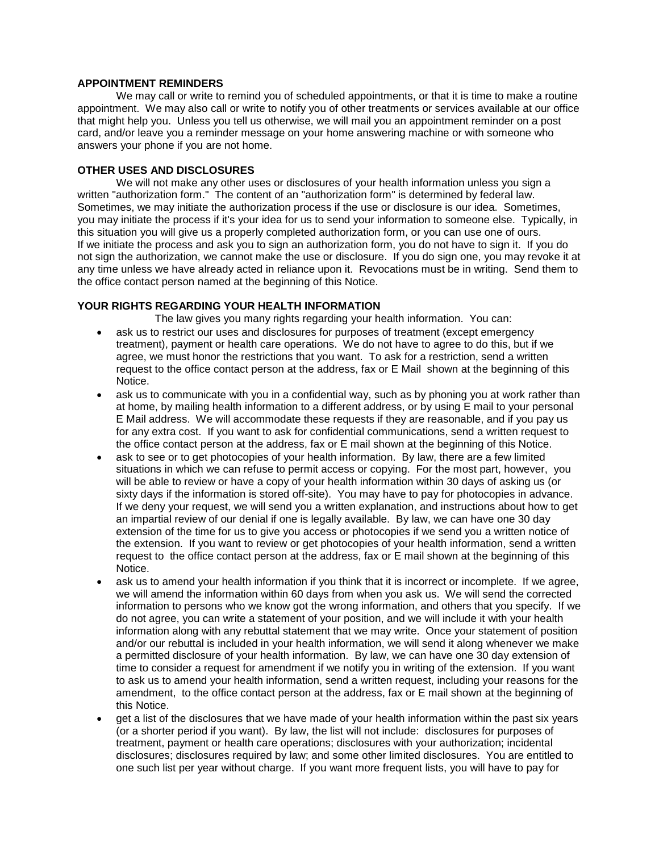#### **APPOINTMENT REMINDERS**

We may call or write to remind you of scheduled appointments, or that it is time to make a routine appointment. We may also call or write to notify you of other treatments or services available at our office that might help you. Unless you tell us otherwise, we will mail you an appointment reminder on a post card, and/or leave you a reminder message on your home answering machine or with someone who answers your phone if you are not home.

#### **OTHER USES AND DISCLOSURES**

We will not make any other uses or disclosures of your health information unless you sign a written "authorization form." The content of an "authorization form" is determined by federal law. Sometimes, we may initiate the authorization process if the use or disclosure is our idea. Sometimes, you may initiate the process if it's your idea for us to send your information to someone else. Typically, in this situation you will give us a properly completed authorization form, or you can use one of ours. If we initiate the process and ask you to sign an authorization form, you do not have to sign it. If you do not sign the authorization, we cannot make the use or disclosure. If you do sign one, you may revoke it at any time unless we have already acted in reliance upon it. Revocations must be in writing. Send them to the office contact person named at the beginning of this Notice.

#### **YOUR RIGHTS REGARDING YOUR HEALTH INFORMATION**

The law gives you many rights regarding your health information. You can:

- ask us to restrict our uses and disclosures for purposes of treatment (except emergency treatment), payment or health care operations. We do not have to agree to do this, but if we agree, we must honor the restrictions that you want. To ask for a restriction, send a written request to the office contact person at the address, fax or E Mail shown at the beginning of this Notice.
- ask us to communicate with you in a confidential way, such as by phoning you at work rather than at home, by mailing health information to a different address, or by using E mail to your personal E Mail address. We will accommodate these requests if they are reasonable, and if you pay us for any extra cost. If you want to ask for confidential communications, send a written request to the office contact person at the address, fax or E mail shown at the beginning of this Notice.
- ask to see or to get photocopies of your health information. By law, there are a few limited situations in which we can refuse to permit access or copying. For the most part, however, you will be able to review or have a copy of your health information within 30 days of asking us (or sixty days if the information is stored off-site). You may have to pay for photocopies in advance. If we deny your request, we will send you a written explanation, and instructions about how to get an impartial review of our denial if one is legally available. By law, we can have one 30 day extension of the time for us to give you access or photocopies if we send you a written notice of the extension. If you want to review or get photocopies of your health information, send a written request to the office contact person at the address, fax or E mail shown at the beginning of this Notice.
- ask us to amend your health information if you think that it is incorrect or incomplete. If we agree, we will amend the information within 60 days from when you ask us. We will send the corrected information to persons who we know got the wrong information, and others that you specify. If we do not agree, you can write a statement of your position, and we will include it with your health information along with any rebuttal statement that we may write. Once your statement of position and/or our rebuttal is included in your health information, we will send it along whenever we make a permitted disclosure of your health information. By law, we can have one 30 day extension of time to consider a request for amendment if we notify you in writing of the extension. If you want to ask us to amend your health information, send a written request, including your reasons for the amendment, to the office contact person at the address, fax or E mail shown at the beginning of this Notice.
- get a list of the disclosures that we have made of your health information within the past six years (or a shorter period if you want). By law, the list will not include: disclosures for purposes of treatment, payment or health care operations; disclosures with your authorization; incidental disclosures; disclosures required by law; and some other limited disclosures. You are entitled to one such list per year without charge. If you want more frequent lists, you will have to pay for